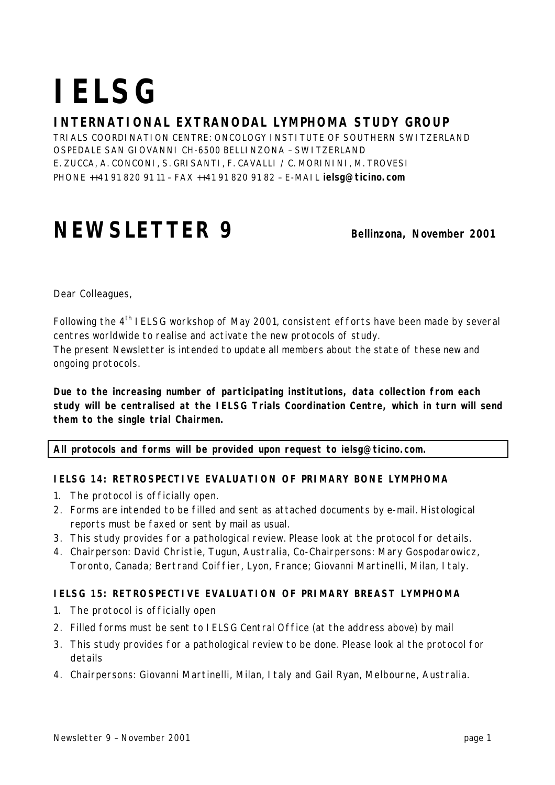# **IELSG**

# **INTERNATIONAL EXTRANODAL LYMPHOMA STUDY GROUP**

TRIALS COORDINATION CENTRE: ONCOLOGY INSTITUTE OF SOUTHERN SWITZERLAND OSPEDALE SAN GIOVANNI CH-6500 BELLINZONA – SWITZERLAND E. ZUCCA, A. CONCONI, S. GRISANTI, F. CAVALLI / C. MORININI, M. TROVESI PHONE ++41 91 820 91 11 – FAX ++41 91 820 91 82 – E-MAIL **ielsg@ticino.com**

# **NEWSLETTER 9** Bellinzona, November 2001

Dear Colleagues,

Following the 4th IELSG workshop of May 2001, consistent efforts have been made by several centres worldwide to realise and activate the new protocols of study.

The present Newsletter is intended to update all members about the state of these new and ongoing protocols.

**Due to the increasing number of participating institutions, data collection from each study will be centralised at the IELSG Trials Coordination Centre, which in turn will send them to the single trial Chairmen.**

### **All protocols and forms will be provided upon request to ielsg@ticino.com.**

### **IELSG 14: RETROSPECTIVE EVALUATION OF PRIMARY BONE LYMPHOMA**

- 1. The protocol is officially open.
- 2. Forms are intended to be filled and sent as attached documents by e-mail. Histological reports must be faxed or sent by mail as usual.
- 3. This study provides for a pathological review. Please look at the protocol for details.
- 4. Chairperson: David Christie, Tugun, Australia, Co-Chairpersons: Mary Gospodarowicz, Toronto, Canada; Bertrand Coiffier, Lyon, France; Giovanni Martinelli, Milan, Italy.

### **IELSG 15: RETROSPECTIVE EVALUATION OF PRIMARY BREAST LYMPHOMA**

- 1. The protocol is officially open
- 2. Filled forms must be sent to IELSG Central Office (at the address above) by mail
- 3. This study provides for a pathological review to be done. Please look al the protocol for details
- 4. Chairpersons: Giovanni Martinelli, Milan, Italy and Gail Ryan, Melbourne, Australia.